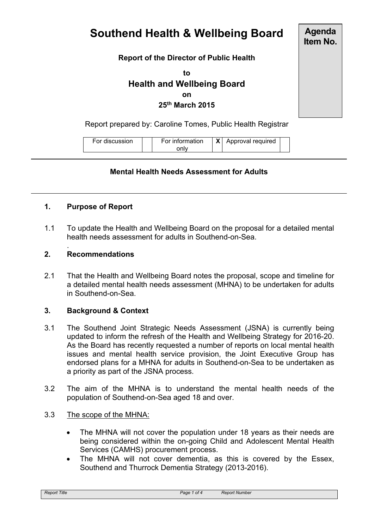# **Southend Health & Wellbeing Board**

**Agenda Item No.**

# **Report of the Director of Public Health**

**to Health and Wellbeing Board on 25th March 2015**

Report prepared by: Caroline Tomes, Public Health Registrar

For discussion For information only **X** Approval required

## **Mental Health Needs Assessment for Adults**

#### **1. Purpose of Report**

1.1 To update the Health and Wellbeing Board on the proposal for a detailed mental health needs assessment for adults in Southend-on-Sea.

#### **2. Recommendations**

.

2.1 That the Health and Wellbeing Board notes the proposal, scope and timeline for a detailed mental health needs assessment (MHNA) to be undertaken for adults in Southend-on-Sea.

#### **3. Background & Context**

- 3.1 The Southend Joint Strategic Needs Assessment (JSNA) is currently being updated to inform the refresh of the Health and Wellbeing Strategy for 2016-20. As the Board has recently requested a number of reports on local mental health issues and mental health service provision, the Joint Executive Group has endorsed plans for a MHNA for adults in Southend-on-Sea to be undertaken as a priority as part of the JSNA process.
- 3.2 The aim of the MHNA is to understand the mental health needs of the population of Southend-on-Sea aged 18 and over.
- 3.3 The scope of the MHNA:
	- The MHNA will not cover the population under 18 years as their needs are being considered within the on-going Child and Adolescent Mental Health Services (CAMHS) procurement process.
	- The MHNA will not cover dementia, as this is covered by the Essex, Southend and Thurrock Dementia Strategy (2013-2016).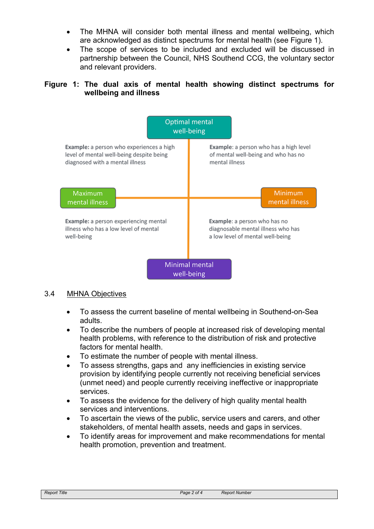- The MHNA will consider both mental illness and mental wellbeing, which are acknowledged as distinct spectrums for mental health (see Figure 1).
- The scope of services to be included and excluded will be discussed in partnership between the Council, NHS Southend CCG, the voluntary sector and relevant providers.

# **Figure 1: The dual axis of mental health showing distinct spectrums for wellbeing and illness**



#### 3.4 MHNA Objectives

- To assess the current baseline of mental wellbeing in Southend-on-Sea adults.
- To describe the numbers of people at increased risk of developing mental health problems, with reference to the distribution of risk and protective factors for mental health.
- To estimate the number of people with mental illness.
- To assess strengths, gaps and any inefficiencies in existing service provision by identifying people currently not receiving beneficial services (unmet need) and people currently receiving ineffective or inappropriate services.
- To assess the evidence for the delivery of high quality mental health services and interventions.
- To ascertain the views of the public, service users and carers, and other stakeholders, of mental health assets, needs and gaps in services.
- To identify areas for improvement and make recommendations for mental health promotion, prevention and treatment.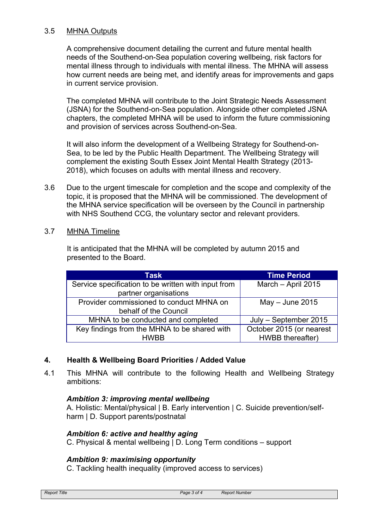### 3.5 MHNA Outputs

A comprehensive document detailing the current and future mental health needs of the Southend-on-Sea population covering wellbeing, risk factors for mental illness through to individuals with mental illness. The MHNA will assess how current needs are being met, and identify areas for improvements and gaps in current service provision.

The completed MHNA will contribute to the Joint Strategic Needs Assessment (JSNA) for the Southend-on-Sea population. Alongside other completed JSNA chapters, the completed MHNA will be used to inform the future commissioning and provision of services across Southend-on-Sea.

It will also inform the development of a Wellbeing Strategy for Southend-on-Sea, to be led by the Public Health Department. The Wellbeing Strategy will complement the existing South Essex Joint Mental Health Strategy (2013- 2018), which focuses on adults with mental illness and recovery.

- 3.6 Due to the urgent timescale for completion and the scope and complexity of the topic, it is proposed that the MHNA will be commissioned. The development of the MHNA service specification will be overseen by the Council in partnership with NHS Southend CCG, the voluntary sector and relevant providers.
- 3.7 MHNA Timeline

It is anticipated that the MHNA will be completed by autumn 2015 and presented to the Board.

| Task                                                | <b>Time Period</b>       |
|-----------------------------------------------------|--------------------------|
| Service specification to be written with input from | March - April 2015       |
| partner organisations                               |                          |
| Provider commissioned to conduct MHNA on            | $May - June 2015$        |
| behalf of the Council                               |                          |
| MHNA to be conducted and completed                  | July - September 2015    |
| Key findings from the MHNA to be shared with        | October 2015 (or nearest |
| <b>HWRR</b>                                         | HWBB thereafter)         |

# **4. Health & Wellbeing Board Priorities / Added Value**

4.1 This MHNA will contribute to the following Health and Wellbeing Strategy ambitions:

# *Ambition 3: improving mental wellbeing*

A. Holistic: Mental/physical | B. Early intervention | C. Suicide prevention/selfharm I D. Support parents/postnatal

# *Ambition 6: active and healthy aging*

C. Physical & mental wellbeing | D. Long Term conditions – support

# *Ambition 9: maximising opportunity*

C. Tackling health inequality (improved access to services)